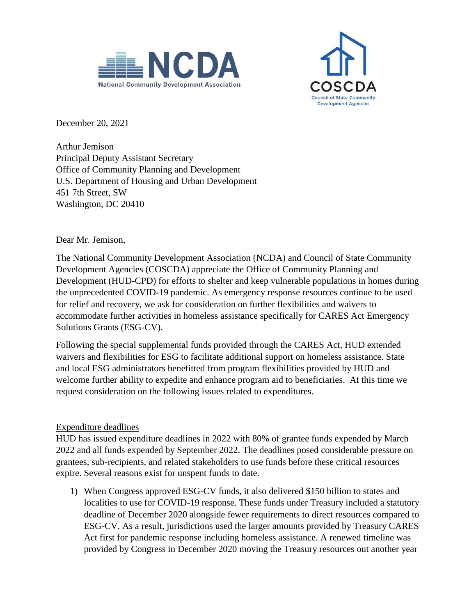



December 20, 2021

Arthur Jemison Principal Deputy Assistant Secretary Office of Community Planning and Development U.S. Department of Housing and Urban Development 451 7th Street, SW Washington, DC 20410

Dear Mr. Jemison,

The National Community Development Association (NCDA) and Council of State Community Development Agencies (COSCDA) appreciate the Office of Community Planning and Development (HUD-CPD) for efforts to shelter and keep vulnerable populations in homes during the unprecedented COVID-19 pandemic. As emergency response resources continue to be used for relief and recovery, we ask for consideration on further flexibilities and waivers to accommodate further activities in homeless assistance specifically for CARES Act Emergency Solutions Grants (ESG-CV).

Following the special supplemental funds provided through the CARES Act, HUD extended waivers and flexibilities for ESG to facilitate additional support on homeless assistance. State and local ESG administrators benefitted from program flexibilities provided by HUD and welcome further ability to expedite and enhance program aid to beneficiaries. At this time we request consideration on the following issues related to expenditures.

## Expenditure deadlines

HUD has issued expenditure deadlines in 2022 with 80% of grantee funds expended by March 2022 and all funds expended by September 2022. The deadlines posed considerable pressure on grantees, sub-recipients, and related stakeholders to use funds before these critical resources expire. Several reasons exist for unspent funds to date.

1) When Congress approved ESG-CV funds, it also delivered \$150 billion to states and localities to use for COVID-19 response. These funds under Treasury included a statutory deadline of December 2020 alongside fewer requirements to direct resources compared to ESG-CV. As a result, jurisdictions used the larger amounts provided by Treasury CARES Act first for pandemic response including homeless assistance. A renewed timeline was provided by Congress in December 2020 moving the Treasury resources out another year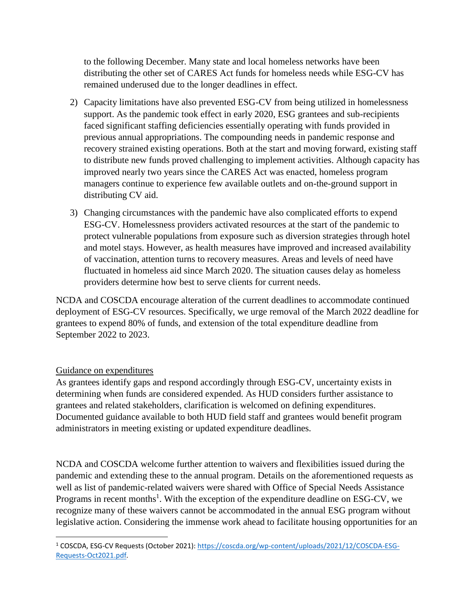to the following December. Many state and local homeless networks have been distributing the other set of CARES Act funds for homeless needs while ESG-CV has remained underused due to the longer deadlines in effect.

- 2) Capacity limitations have also prevented ESG-CV from being utilized in homelessness support. As the pandemic took effect in early 2020, ESG grantees and sub-recipients faced significant staffing deficiencies essentially operating with funds provided in previous annual appropriations. The compounding needs in pandemic response and recovery strained existing operations. Both at the start and moving forward, existing staff to distribute new funds proved challenging to implement activities. Although capacity has improved nearly two years since the CARES Act was enacted, homeless program managers continue to experience few available outlets and on-the-ground support in distributing CV aid.
- 3) Changing circumstances with the pandemic have also complicated efforts to expend ESG-CV. Homelessness providers activated resources at the start of the pandemic to protect vulnerable populations from exposure such as diversion strategies through hotel and motel stays. However, as health measures have improved and increased availability of vaccination, attention turns to recovery measures. Areas and levels of need have fluctuated in homeless aid since March 2020. The situation causes delay as homeless providers determine how best to serve clients for current needs.

NCDA and COSCDA encourage alteration of the current deadlines to accommodate continued deployment of ESG-CV resources. Specifically, we urge removal of the March 2022 deadline for grantees to expend 80% of funds, and extension of the total expenditure deadline from September 2022 to 2023.

## Guidance on expenditures

As grantees identify gaps and respond accordingly through ESG-CV, uncertainty exists in determining when funds are considered expended. As HUD considers further assistance to grantees and related stakeholders, clarification is welcomed on defining expenditures. Documented guidance available to both HUD field staff and grantees would benefit program administrators in meeting existing or updated expenditure deadlines.

NCDA and COSCDA welcome further attention to waivers and flexibilities issued during the pandemic and extending these to the annual program. Details on the aforementioned requests as well as list of pandemic-related waivers were shared with Office of Special Needs Assistance Programs in recent months<sup>1</sup>. With the exception of the expenditure deadline on ESG-CV, we recognize many of these waivers cannot be accommodated in the annual ESG program without legislative action. Considering the immense work ahead to facilitate housing opportunities for an

l <sup>1</sup> COSCDA, ESG-CV Requests (October 2021): [https://coscda.org/wp-content/uploads/2021/12/COSCDA-ESG-](https://coscda.org/wp-content/uploads/2021/12/COSCDA-ESG-Requests-Oct2021.pdf)[Requests-Oct2021.pdf.](https://coscda.org/wp-content/uploads/2021/12/COSCDA-ESG-Requests-Oct2021.pdf)